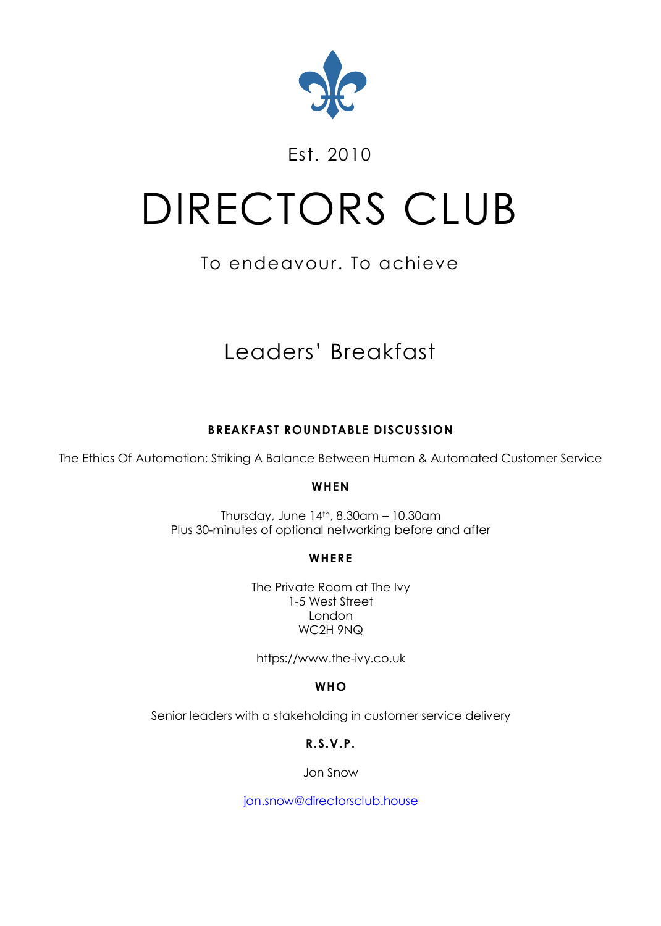

### Est. 2010

# DIRECTORS CLUB

## To endeavour. To achieve

# Leaders' Breakfast

#### **BREAKFAST ROUNDTABLE DISCUSSION**

The Ethics Of Automation: Striking A Balance Between Human & Automated Customer Service

#### **WHEN**

Thursday, June  $14<sup>th</sup>$ , 8.30am – 10.30am Plus 30-minutes of optional networking before and after

#### **WHERE**

The Private Room at The Ivy 1-5 West Street London WC2H 9NQ

[https://www.the-ivy.co.uk](https://www.the-ivy.co.uk/)

**WHO**

Senior leaders with a stakeholding in customer service delivery

**R.S.V.P.**

Jon Snow

[jon.snow@directorsclub.house](mailto:jon.snow@directorsclub.house)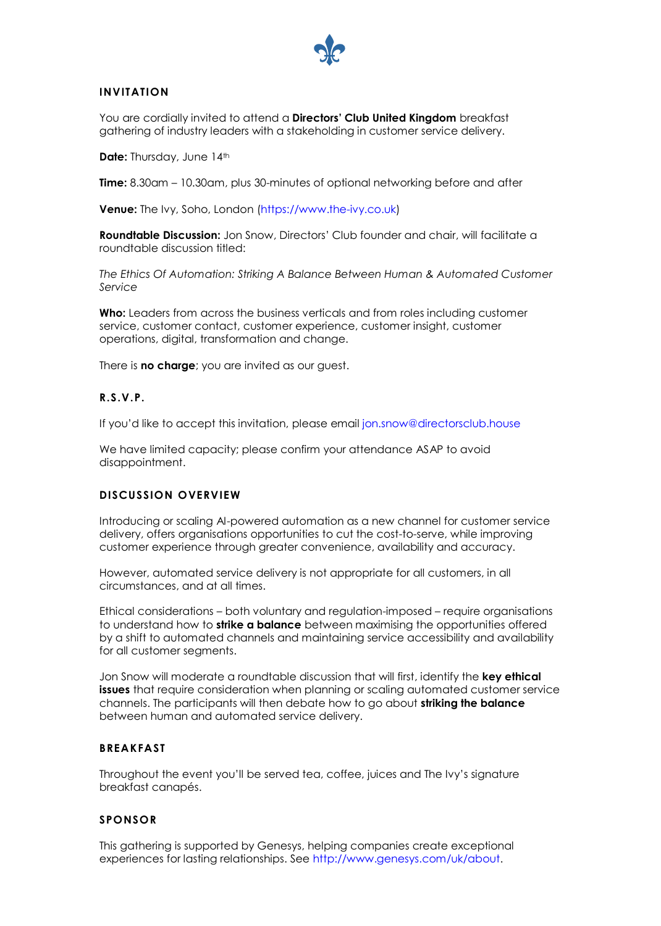

#### **INVITATION**

You are cordially invited to attend a **Directors' Club United Kingdom** breakfast gathering of industry leaders with a stakeholding in customer service delivery.

**Date:** Thursday, June 14th

**Time:** 8.30am – 10.30am, plus 30-minutes of optional networking before and after

**Venue:** The Ivy, Soho, London [\(https://www.the-ivy.co.uk\)](https://www.the-ivy.co.uk/)

**Roundtable Discussion:** Jon Snow, Directors' Club founder and chair, will facilitate a roundtable discussion titled:

*The Ethics Of Automation: Striking A Balance Between Human & Automated Customer Service*

**Who:** Leaders from across the business verticals and from roles including customer service, customer contact, customer experience, customer insight, customer operations, digital, transformation and change.

There is **no charge**; you are invited as our guest.

#### **R.S.V.P.**

If you'd like to accept this invitation, please email [jon.snow@directorsclub.house](mailto:jon.snow@directorsclub.house)

We have limited capacity; please confirm your attendance ASAP to avoid disappointment.

#### **DISCUSSION OVERVIEW**

Introducing or scaling AI-powered automation as a new channel for customer service delivery, offers organisations opportunities to cut the cost-to-serve, while improving customer experience through greater convenience, availability and accuracy.

However, automated service delivery is not appropriate for all customers, in all circumstances, and at all times.

Ethical considerations – both voluntary and regulation-imposed – require organisations to understand how to **strike a balance** between maximising the opportunities offered by a shift to automated channels and maintaining service accessibility and availability for all customer segments.

Jon Snow will moderate a roundtable discussion that will first, identify the **key ethical issues** that require consideration when planning or scaling automated customer service channels. The participants will then debate how to go about **striking the balance** between human and automated service delivery.

#### **BREAKFAST**

Throughout the event you'll be served tea, coffee, juices and The Ivy's signature breakfast canapés.

#### **SPONSOR**

This gathering is supported by Genesys, helping companies create exceptional experiences for lasting relationships. See [http://www.genesys.com/uk/about.](http://www.genesys.com/uk/about)